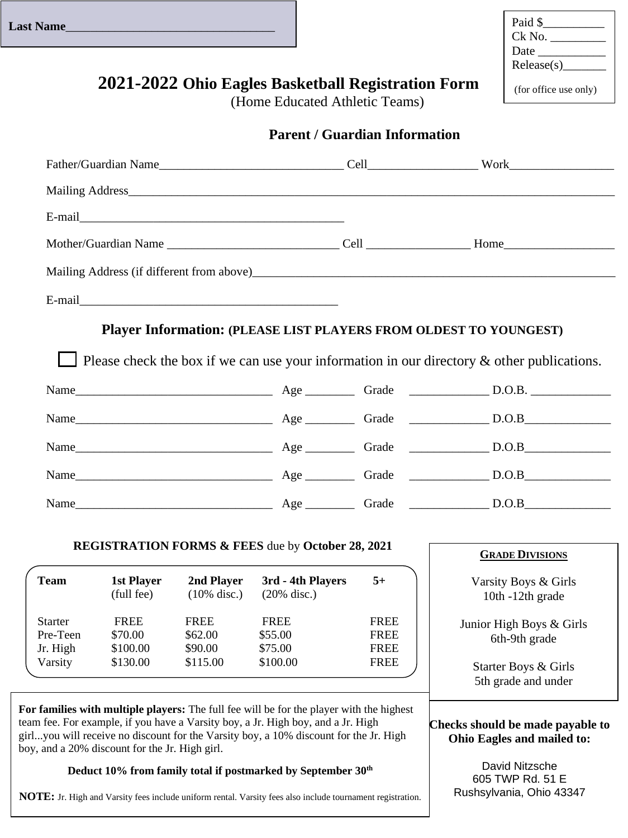| Paid \$               |
|-----------------------|
| Ck No.                |
| Date $\_\_$           |
| Release(s)            |
| (for office use only) |

# **2021-2022 Ohio Eagles Basketball Registration Form**

(Home Educated Athletic Teams)

|  | <b>Parent / Guardian Information</b> |
|--|--------------------------------------|
|  |                                      |

|             |             |             |             | <b>GRADE DIVISIONS</b>                                                                                                                                                                                                                                                                                                                                          |
|-------------|-------------|-------------|-------------|-----------------------------------------------------------------------------------------------------------------------------------------------------------------------------------------------------------------------------------------------------------------------------------------------------------------------------------------------------------------|
|             |             |             | $5+$        | Varsity Boys & Girls<br>10th -12th grade                                                                                                                                                                                                                                                                                                                        |
| <b>FREE</b> | <b>FREE</b> | <b>FREE</b> | <b>FREE</b> | Junior High Boys & Girls                                                                                                                                                                                                                                                                                                                                        |
| \$70.00     | \$62.00     | \$55.00     | <b>FREE</b> | 6th-9th grade                                                                                                                                                                                                                                                                                                                                                   |
| \$130.00    | \$115.00    | \$100.00    | <b>FREE</b> | Starter Boys & Girls<br>5th grade and under                                                                                                                                                                                                                                                                                                                     |
|             | \$100.00    | \$90.00     | \$75.00     | <b>Player Information: (PLEASE LIST PLAYERS FROM OLDEST TO YOUNGEST)</b><br>Please check the box if we can use your information in our directory $\&$ other publications.<br><b>REGISTRATION FORMS &amp; FEES due by October 28, 2021</b><br>1st Player 2nd Player 3rd - 4th Players<br>(full fee) $(10\% \text{ disc.})$ $(20\% \text{ disc.})$<br><b>FREE</b> |

boy, and a 20% discount for the Jr. High girl.

### **Deduct 10% from family total if postmarked by September 30th**

**NOTE:** Jr. High and Varsity fees include uniform rental. Varsity fees also include tournament registration.

David Nitzsche 605 TWP Rd. 51 E Rushsylvania, Ohio 43347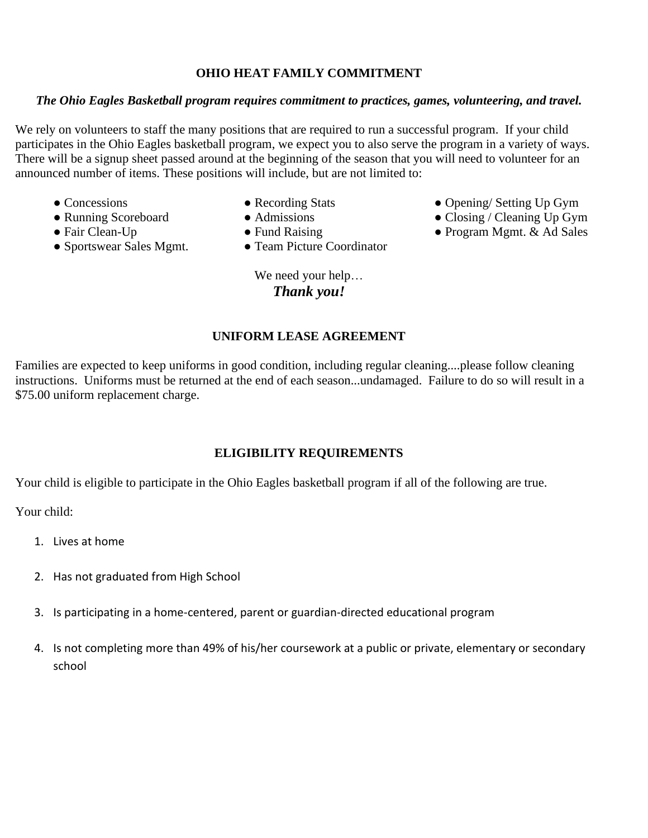#### **OHIO HEAT FAMILY COMMITMENT**

#### *The Ohio Eagles Basketball program requires commitment to practices, games, volunteering, and travel.*

We rely on volunteers to staff the many positions that are required to run a successful program. If your child participates in the Ohio Eagles basketball program, we expect you to also serve the program in a variety of ways. There will be a signup sheet passed around at the beginning of the season that you will need to volunteer for an announced number of items. These positions will include, but are not limited to:

- 
- 
- 
- Sportswear Sales Mgmt. Team Picture Coordinator
- 
- 
- -

We need your help… *Thank you!*

#### **UNIFORM LEASE AGREEMENT**

Families are expected to keep uniforms in good condition, including regular cleaning....please follow cleaning instructions. Uniforms must be returned at the end of each season...undamaged. Failure to do so will result in a \$75.00 uniform replacement charge.

#### **ELIGIBILITY REQUIREMENTS**

Your child is eligible to participate in the Ohio Eagles basketball program if all of the following are true.

Your child:

- 1. Lives at home
- 2. Has not graduated from High School
- 3. Is participating in a home-centered, parent or guardian-directed educational program
- 4. Is not completing more than 49% of his/her coursework at a public or private, elementary or secondary school
- Concessions Recording Stats Opening/ Setting Up Gym
- Running Scoreboard Admissions Closing / Cleaning Up Gym
- Fair Clean-Up Fund Raising Program Mgmt. & Ad Sales